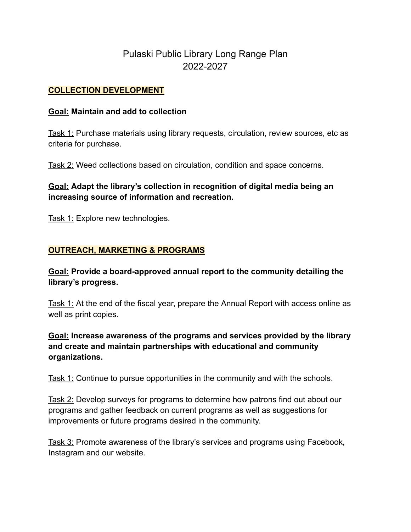# Pulaski Public Library Long Range Plan 2022-2027

#### **COLLECTION DEVELOPMENT**

#### **Goal: Maintain and add to collection**

Task 1: Purchase materials using library requests, circulation, review sources, etc as criteria for purchase.

Task 2: Weed collections based on circulation, condition and space concerns.

# **Goal: Adapt the library's collection in recognition of digital media being an increasing source of information and recreation.**

Task 1: Explore new technologies.

#### **OUTREACH, MARKETING & PROGRAMS**

**Goal: Provide a board-approved annual report to the community detailing the library's progress.**

Task 1: At the end of the fiscal year, prepare the Annual Report with access online as well as print copies.

#### **Goal: Increase awareness of the programs and services provided by the library and create and maintain partnerships with educational and community organizations.**

Task 1: Continue to pursue opportunities in the community and with the schools.

Task 2: Develop surveys for programs to determine how patrons find out about our programs and gather feedback on current programs as well as suggestions for improvements or future programs desired in the community.

Task 3: Promote awareness of the library's services and programs using Facebook, Instagram and our website.